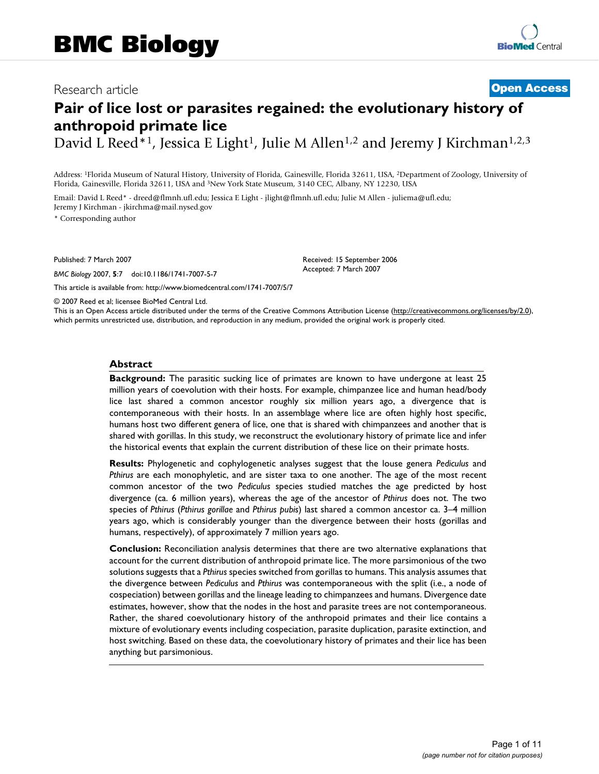# Research article **[Open Access](http://www.biomedcentral.com/info/about/charter/)**

# **Pair of lice lost or parasites regained: the evolutionary history of anthropoid primate lice**

Received: 15 September 2006 Accepted: 7 March 2007

David L Reed<sup>\*1</sup>, Jessica E Light<sup>1</sup>, Julie M Allen<sup>1,2</sup> and Jeremy J Kirchman<sup>1,2,3</sup>

Address: 1Florida Museum of Natural History, University of Florida, Gainesville, Florida 32611, USA, 2Department of Zoology, University of Florida, Gainesville, Florida 32611, USA and 3New York State Museum, 3140 CEC, Albany, NY 12230, USA

Email: David L Reed\* - dreed@flmnh.ufl.edu; Jessica E Light - jlight@flmnh.ufl.edu; Julie M Allen - juliema@ufl.edu; Jeremy J Kirchman - jkirchma@mail.nysed.gov

\* Corresponding author

Published: 7 March 2007

*BMC Biology* 2007, **5**:7 doi:10.1186/1741-7007-5-7

[This article is available from: http://www.biomedcentral.com/1741-7007/5/7](http://www.biomedcentral.com/1741-7007/5/7)

© 2007 Reed et al; licensee BioMed Central Ltd.

This is an Open Access article distributed under the terms of the Creative Commons Attribution License [\(http://creativecommons.org/licenses/by/2.0\)](http://creativecommons.org/licenses/by/2.0), which permits unrestricted use, distribution, and reproduction in any medium, provided the original work is properly cited.

#### **Abstract**

**Background:** The parasitic sucking lice of primates are known to have undergone at least 25 million years of coevolution with their hosts. For example, chimpanzee lice and human head/body lice last shared a common ancestor roughly six million years ago, a divergence that is contemporaneous with their hosts. In an assemblage where lice are often highly host specific, humans host two different genera of lice, one that is shared with chimpanzees and another that is shared with gorillas. In this study, we reconstruct the evolutionary history of primate lice and infer the historical events that explain the current distribution of these lice on their primate hosts.

**Results:** Phylogenetic and cophylogenetic analyses suggest that the louse genera *Pediculus* and *Pthirus* are each monophyletic, and are sister taxa to one another. The age of the most recent common ancestor of the two *Pediculus* species studied matches the age predicted by host divergence (ca. 6 million years), whereas the age of the ancestor of *Pthirus* does not. The two species of *Pthirus* (*Pthirus gorillae* and *Pthirus pubis*) last shared a common ancestor ca. 3–4 million years ago, which is considerably younger than the divergence between their hosts (gorillas and humans, respectively), of approximately 7 million years ago.

**Conclusion:** Reconciliation analysis determines that there are two alternative explanations that account for the current distribution of anthropoid primate lice. The more parsimonious of the two solutions suggests that a *Pthirus* species switched from gorillas to humans. This analysis assumes that the divergence between *Pediculus* and *Pthirus* was contemporaneous with the split (i.e., a node of cospeciation) between gorillas and the lineage leading to chimpanzees and humans. Divergence date estimates, however, show that the nodes in the host and parasite trees are not contemporaneous. Rather, the shared coevolutionary history of the anthropoid primates and their lice contains a mixture of evolutionary events including cospeciation, parasite duplication, parasite extinction, and host switching. Based on these data, the coevolutionary history of primates and their lice has been anything but parsimonious.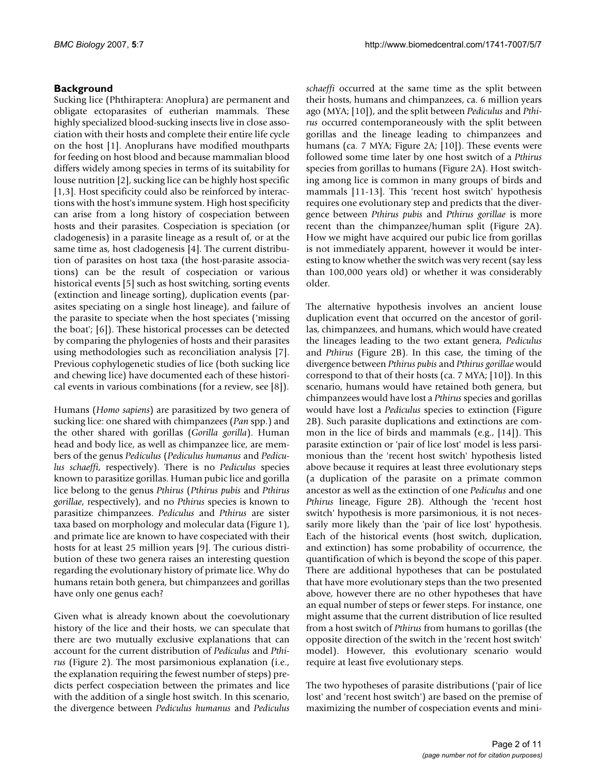## **Background**

Sucking lice (Phthiraptera: Anoplura) are permanent and obligate ectoparasites of eutherian mammals. These highly specialized blood-sucking insects live in close association with their hosts and complete their entire life cycle on the host [1]. Anoplurans have modified mouthparts for feeding on host blood and because mammalian blood differs widely among species in terms of its suitability for louse nutrition [2], sucking lice can be highly host specific [1,3]. Host specificity could also be reinforced by interactions with the host's immune system. High host specificity can arise from a long history of cospeciation between hosts and their parasites. Cospeciation is speciation (or cladogenesis) in a parasite lineage as a result of, or at the same time as, host cladogenesis [4]. The current distribution of parasites on host taxa (the host-parasite associations) can be the result of cospeciation or various historical events [5] such as host switching, sorting events (extinction and lineage sorting), duplication events (parasites speciating on a single host lineage), and failure of the parasite to speciate when the host speciates ('missing the boat'; [6]). These historical processes can be detected by comparing the phylogenies of hosts and their parasites using methodologies such as reconciliation analysis [7]. Previous cophylogenetic studies of lice (both sucking lice and chewing lice) have documented each of these historical events in various combinations (for a review, see [8]).

Humans (*Homo sapiens*) are parasitized by two genera of sucking lice: one shared with chimpanzees (*Pan* spp.) and the other shared with gorillas (*Gorilla gorilla*). Human head and body lice, as well as chimpanzee lice, are members of the genus *Pediculus* (*Pediculus humanus* and *Pediculus schaeffi*, respectively). There is no *Pediculus* species known to parasitize gorillas. Human pubic lice and gorilla lice belong to the genus *Pthirus* (*Pthirus pubis* and *Pthirus gorillae*, respectively), and no *Pthirus* species is known to parasitize chimpanzees. *Pediculus* and *Pthirus* are sister taxa based on morphology and molecular data (Figure 1), and primate lice are known to have cospeciated with their hosts for at least 25 million years [9]. The curious distribution of these two genera raises an interesting question regarding the evolutionary history of primate lice. Why do humans retain both genera, but chimpanzees and gorillas have only one genus each?

Given what is already known about the coevolutionary history of the lice and their hosts, we can speculate that there are two mutually exclusive explanations that can account for the current distribution of *Pediculus* and *Pthirus* (Figure 2). The most parsimonious explanation (i.e., the explanation requiring the fewest number of steps) predicts perfect cospeciation between the primates and lice with the addition of a single host switch. In this scenario, the divergence between *Pediculus humanus* and *Pediculus*

*schaeffi* occurred at the same time as the split between their hosts, humans and chimpanzees, ca. 6 million years ago (MYA; [10]), and the split between *Pediculus* and *Pthirus* occurred contemporaneously with the split between gorillas and the lineage leading to chimpanzees and humans (ca. 7 MYA; Figure 2A; [10]). These events were followed some time later by one host switch of a *Pthirus* species from gorillas to humans (Figure 2A). Host switching among lice is common in many groups of birds and mammals [11-13]. This 'recent host switch' hypothesis requires one evolutionary step and predicts that the divergence between *Pthirus pubis* and *Pthirus gorillae* is more recent than the chimpanzee/human split (Figure 2A). How we might have acquired our pubic lice from gorillas is not immediately apparent, however it would be interesting to know whether the switch was very recent (say less than 100,000 years old) or whether it was considerably older.

The alternative hypothesis involves an ancient louse duplication event that occurred on the ancestor of gorillas, chimpanzees, and humans, which would have created the lineages leading to the two extant genera, *Pediculus* and *Pthirus* (Figure 2B). In this case, the timing of the divergence between *Pthirus pubis* and *Pthirus gorillae* would correspond to that of their hosts (ca. 7 MYA; [10]). In this scenario, humans would have retained both genera, but chimpanzees would have lost a *Pthirus* species and gorillas would have lost a *Pediculus* species to extinction (Figure 2B). Such parasite duplications and extinctions are common in the lice of birds and mammals (e.g., [14]). This parasite extinction or 'pair of lice lost' model is less parsimonious than the 'recent host switch' hypothesis listed above because it requires at least three evolutionary steps (a duplication of the parasite on a primate common ancestor as well as the extinction of one *Pediculus* and one *Pthirus* lineage, Figure 2B). Although the 'recent host switch' hypothesis is more parsimonious, it is not necessarily more likely than the 'pair of lice lost' hypothesis. Each of the historical events (host switch, duplication, and extinction) has some probability of occurrence, the quantification of which is beyond the scope of this paper. There are additional hypotheses that can be postulated that have more evolutionary steps than the two presented above, however there are no other hypotheses that have an equal number of steps or fewer steps. For instance, one might assume that the current distribution of lice resulted from a host switch of *Pthirus* from humans to gorillas (the opposite direction of the switch in the 'recent host switch' model). However, this evolutionary scenario would require at least five evolutionary steps.

The two hypotheses of parasite distributions ('pair of lice lost' and 'recent host switch') are based on the premise of maximizing the number of cospeciation events and mini-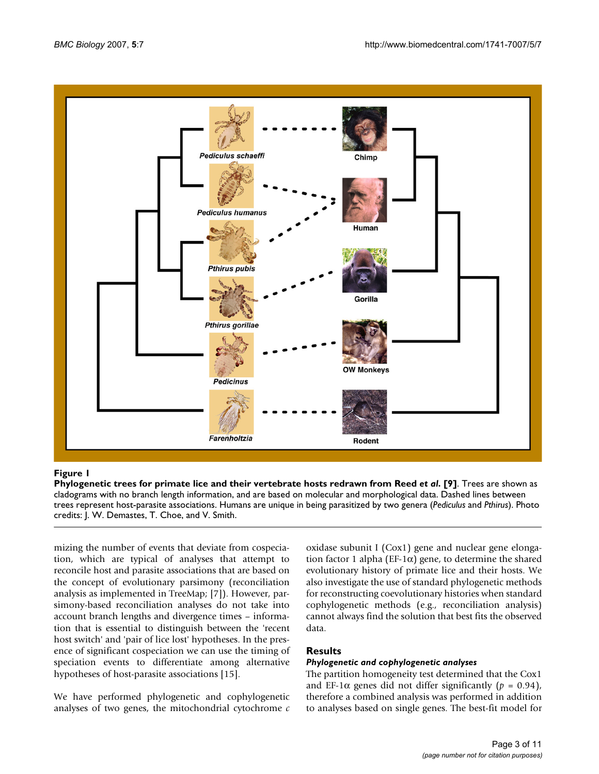

#### **Figure 1** Phylogenetic trees for primate lice and their vertebrate hosts redrawn from Reed *et al*. [9]

**Phylogenetic trees for primate lice and their vertebrate hosts redrawn from Reed** *et al***. [9]**. Trees are shown as cladograms with no branch length information, and are based on molecular and morphological data. Dashed lines between trees represent host-parasite associations. Humans are unique in being parasitized by two genera (*Pediculus* and *Pthirus*). Photo credits: J. W. Demastes, T. Choe, and V. Smith.

mizing the number of events that deviate from cospeciation, which are typical of analyses that attempt to reconcile host and parasite associations that are based on the concept of evolutionary parsimony (reconciliation analysis as implemented in TreeMap; [7]). However, parsimony-based reconciliation analyses do not take into account branch lengths and divergence times – information that is essential to distinguish between the 'recent host switch' and 'pair of lice lost' hypotheses. In the presence of significant cospeciation we can use the timing of speciation events to differentiate among alternative hypotheses of host-parasite associations [15].

We have performed phylogenetic and cophylogenetic analyses of two genes, the mitochondrial cytochrome *c* oxidase subunit I (Cox1) gene and nuclear gene elongation factor 1 alpha (EF-1 $\alpha$ ) gene, to determine the shared evolutionary history of primate lice and their hosts. We also investigate the use of standard phylogenetic methods for reconstructing coevolutionary histories when standard cophylogenetic methods (e.g., reconciliation analysis) cannot always find the solution that best fits the observed data.

#### **Results**

#### *Phylogenetic and cophylogenetic analyses*

The partition homogeneity test determined that the Cox1 and EF-1 $\alpha$  genes did not differ significantly ( $p = 0.94$ ), therefore a combined analysis was performed in addition to analyses based on single genes. The best-fit model for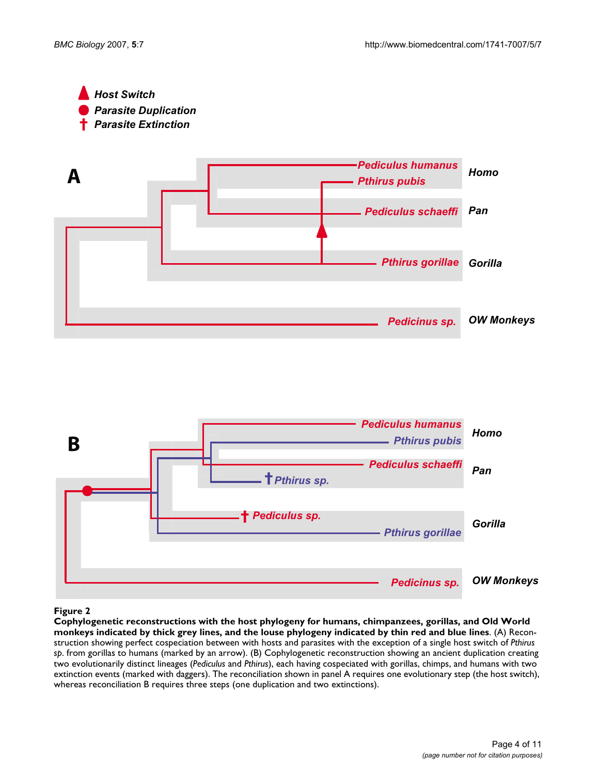





#### Cophylogenetic reconstructions wi by thick grey lines, and the louse phyloge **Figure 2** th the host phylogeny for humans, chimpanzee ny indicated by thin red and blue lines s, gorillas, and Old World monkeys indicated

**Cophylogenetic reconstructions with the host phylogeny for humans, chimpanzees, gorillas, and Old World monkeys indicated by thick grey lines, and the louse phylogeny indicated by thin red and blue lines**. (A) Reconstruction showing perfect cospeciation between with hosts and parasites with the exception of a single host switch of *Pthirus sp*. from gorillas to humans (marked by an arrow). (B) Cophylogenetic reconstruction showing an ancient duplication creating two evolutionarily distinct lineages (*Pediculus* and *Pthirus*), each having cospeciated with gorillas, chimps, and humans with two extinction events (marked with daggers). The reconciliation shown in panel A requires one evolutionary step (the host switch), whereas reconciliation B requires three steps (one duplication and two extinctions).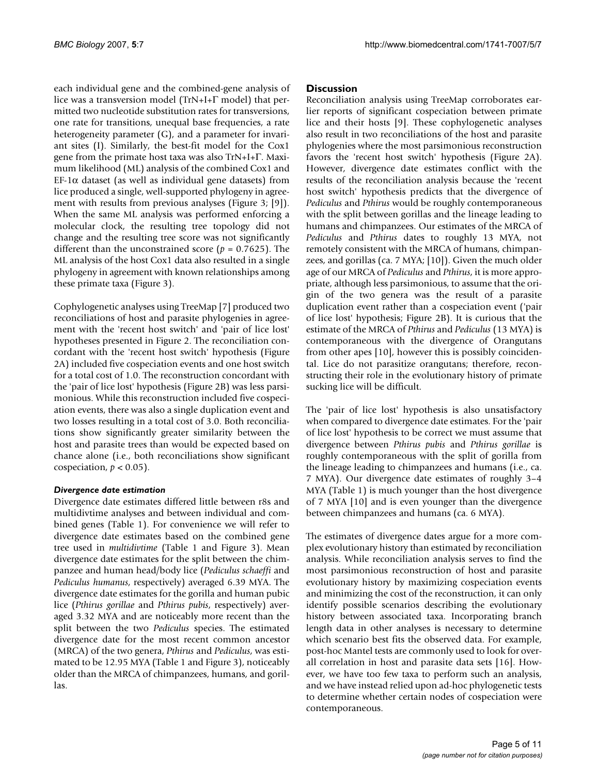each individual gene and the combined-gene analysis of lice was a transversion model (TrN+I+Γ model) that permitted two nucleotide substitution rates for transversions, one rate for transitions, unequal base frequencies, a rate heterogeneity parameter (G), and a parameter for invariant sites (I). Similarly, the best-fit model for the Cox1 gene from the primate host taxa was also TrN+I+Γ. Maximum likelihood (ML) analysis of the combined Cox1 and EF-1α dataset (as well as individual gene datasets) from lice produced a single, well-supported phylogeny in agreement with results from previous analyses (Figure 3; [9]). When the same ML analysis was performed enforcing a molecular clock, the resulting tree topology did not change and the resulting tree score was not significantly different than the unconstrained score (*p* = 0.7625). The ML analysis of the host Cox1 data also resulted in a single phylogeny in agreement with known relationships among these primate taxa (Figure 3).

Cophylogenetic analyses using TreeMap [7] produced two reconciliations of host and parasite phylogenies in agreement with the 'recent host switch' and 'pair of lice lost' hypotheses presented in Figure 2. The reconciliation concordant with the 'recent host switch' hypothesis (Figure 2A) included five cospeciation events and one host switch for a total cost of 1.0. The reconstruction concordant with the 'pair of lice lost' hypothesis (Figure 2B) was less parsimonious. While this reconstruction included five cospeciation events, there was also a single duplication event and two losses resulting in a total cost of 3.0. Both reconciliations show significantly greater similarity between the host and parasite trees than would be expected based on chance alone (i.e., both reconciliations show significant cospeciation,  $p < 0.05$ ).

#### *Divergence date estimation*

Divergence date estimates differed little between r8s and multidivtime analyses and between individual and combined genes (Table 1). For convenience we will refer to divergence date estimates based on the combined gene tree used in *multidivtime* (Table 1 and Figure 3). Mean divergence date estimates for the split between the chimpanzee and human head/body lice (*Pediculus schaeffi* and *Pediculus humanus*, respectively) averaged 6.39 MYA. The divergence date estimates for the gorilla and human pubic lice (*Pthirus gorillae* and *Pthirus pubis*, respectively) averaged 3.32 MYA and are noticeably more recent than the split between the two *Pediculus* species. The estimated divergence date for the most recent common ancestor (MRCA) of the two genera, *Pthirus* and *Pediculus*, was estimated to be 12.95 MYA (Table 1 and Figure 3), noticeably older than the MRCA of chimpanzees, humans, and gorillas.

#### **Discussion**

Reconciliation analysis using TreeMap corroborates earlier reports of significant cospeciation between primate lice and their hosts [9]. These cophylogenetic analyses also result in two reconciliations of the host and parasite phylogenies where the most parsimonious reconstruction favors the 'recent host switch' hypothesis (Figure 2A). However, divergence date estimates conflict with the results of the reconciliation analysis because the 'recent host switch' hypothesis predicts that the divergence of *Pediculus* and *Pthirus* would be roughly contemporaneous with the split between gorillas and the lineage leading to humans and chimpanzees. Our estimates of the MRCA of *Pediculus* and *Pthirus* dates to roughly 13 MYA, not remotely consistent with the MRCA of humans, chimpanzees, and gorillas (ca. 7 MYA; [10]). Given the much older age of our MRCA of *Pediculus* and *Pthirus*, it is more appropriate, although less parsimonious, to assume that the origin of the two genera was the result of a parasite duplication event rather than a cospeciation event ('pair of lice lost' hypothesis; Figure 2B). It is curious that the estimate of the MRCA of *Pthirus* and *Pediculus* (13 MYA) is contemporaneous with the divergence of Orangutans from other apes [10], however this is possibly coincidental. Lice do not parasitize orangutans; therefore, reconstructing their role in the evolutionary history of primate sucking lice will be difficult.

The 'pair of lice lost' hypothesis is also unsatisfactory when compared to divergence date estimates. For the 'pair of lice lost' hypothesis to be correct we must assume that divergence between *Pthirus pubis* and *Pthirus gorillae* is roughly contemporaneous with the split of gorilla from the lineage leading to chimpanzees and humans (i.e., ca. 7 MYA). Our divergence date estimates of roughly 3–4 MYA (Table 1) is much younger than the host divergence of 7 MYA [10] and is even younger than the divergence between chimpanzees and humans (ca. 6 MYA).

The estimates of divergence dates argue for a more complex evolutionary history than estimated by reconciliation analysis. While reconciliation analysis serves to find the most parsimonious reconstruction of host and parasite evolutionary history by maximizing cospeciation events and minimizing the cost of the reconstruction, it can only identify possible scenarios describing the evolutionary history between associated taxa. Incorporating branch length data in other analyses is necessary to determine which scenario best fits the observed data. For example, post-hoc Mantel tests are commonly used to look for overall correlation in host and parasite data sets [16]. However, we have too few taxa to perform such an analysis, and we have instead relied upon ad-hoc phylogenetic tests to determine whether certain nodes of cospeciation were contemporaneous.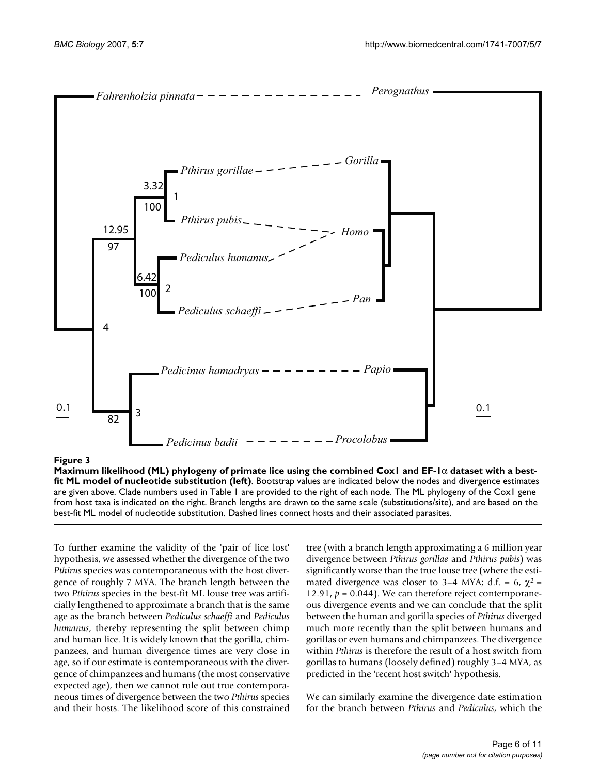

#### Maximum likelihood (ML) phylogeny of prim nucleotide substitution (left) **Figure 3** ate lice using the combined Cox1 and EF-1α dataset with a best-fit ML model of

**Maximum likelihood (ML) phylogeny of primate lice using the combined Cox1 and EF-1**α **dataset with a bestfit ML model of nucleotide substitution (left)**. Bootstrap values are indicated below the nodes and divergence estimates are given above. Clade numbers used in Table 1 are provided to the right of each node. The ML phylogeny of the Cox1 gene from host taxa is indicated on the right. Branch lengths are drawn to the same scale (substitutions/site), and are based on the best-fit ML model of nucleotide substitution. Dashed lines connect hosts and their associated parasites.

To further examine the validity of the 'pair of lice lost' hypothesis, we assessed whether the divergence of the two *Pthirus* species was contemporaneous with the host divergence of roughly 7 MYA. The branch length between the two *Pthirus* species in the best-fit ML louse tree was artificially lengthened to approximate a branch that is the same age as the branch between *Pediculus schaeffi* and *Pediculus humanus*, thereby representing the split between chimp and human lice. It is widely known that the gorilla, chimpanzees, and human divergence times are very close in age, so if our estimate is contemporaneous with the divergence of chimpanzees and humans (the most conservative expected age), then we cannot rule out true contemporaneous times of divergence between the two *Pthirus* species and their hosts. The likelihood score of this constrained tree (with a branch length approximating a 6 million year divergence between *Pthirus gorillae* and *Pthirus pubis*) was significantly worse than the true louse tree (where the estimated divergence was closer to 3–4 MYA; d.f. = 6,  $\chi^2$  = 12.91,  $p = 0.044$ ). We can therefore reject contemporaneous divergence events and we can conclude that the split between the human and gorilla species of *Pthirus* diverged much more recently than the split between humans and gorillas or even humans and chimpanzees. The divergence within *Pthirus* is therefore the result of a host switch from gorillas to humans (loosely defined) roughly 3–4 MYA, as predicted in the 'recent host switch' hypothesis.

We can similarly examine the divergence date estimation for the branch between *Pthirus* and *Pediculus*, which the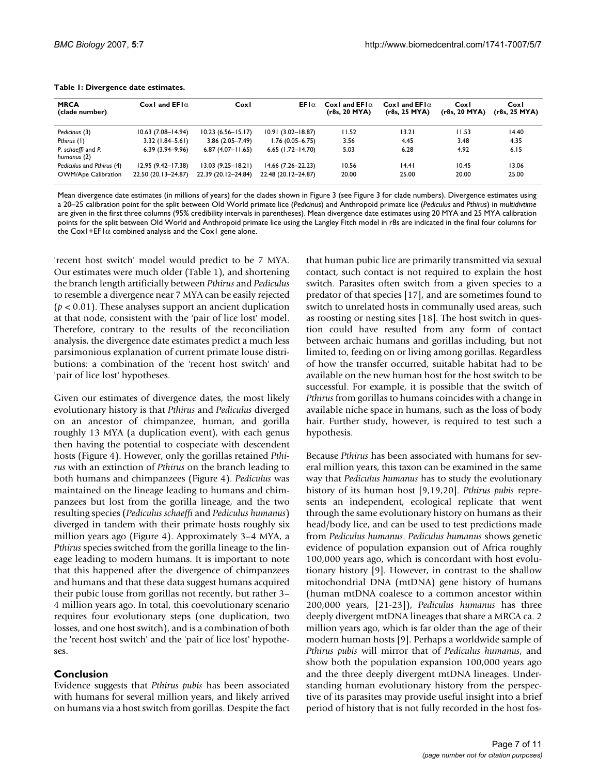| <b>MRCA</b><br>(clade number)     | Cox and EFI $\alpha$  | Coxl                  | EF $\alpha$             | Cox and EF $\alpha$<br>(r8s, 20 MYA) | Cox and EF $\alpha$<br>(r8s. 25 MYA) | Coxl<br>(r8s, 20 MYA) | Coxl<br>(r8s, 25 MYA) |
|-----------------------------------|-----------------------|-----------------------|-------------------------|--------------------------------------|--------------------------------------|-----------------------|-----------------------|
| Pedicinus (3)                     | $10.63$ (7.08-14.94)  | $10.23(6.56 - 15.17)$ | $10.91(3.02 - 18.87)$   | 11.52                                | 13.21                                | 11.53                 | 14.40                 |
| Pthirus (1)                       | $3.32(1.84 - 5.61)$   | $3.86(2.05 - 7.49)$   | $1.76(0.05 - 6.75)$     | 3.56                                 | 4.45                                 | 3.48                  | 4.35                  |
| P. schaeffi and P.<br>humanus (2) | $6.39(3.94 - 9.96)$   | $6.87(4.07 - 11.65)$  | $6.65$ $(1.72 - 14.70)$ | 5.03                                 | 6.28                                 | 4.92                  | 6.15                  |
| Pediculus and Pthirus (4)         | $12.95(9.42 - 17.38)$ | $(3.03(9.25 - 18.2))$ | $14.66(7.26 - 22.23)$   | 10.56                                | 14.41                                | 10.45                 | 13.06                 |
| OWM/Ape Calibration               | 22.50 (20.13-24.87)   | 22.39 (20.12-24.84)   | 22.48 (20.12-24.87)     | 20.00                                | 25.00                                | 20.00                 | 25.00                 |

#### **Table 1: Divergence date estimates.**

Mean divergence date estimates (in millions of years) for the clades shown in Figure 3 (see Figure 3 for clade numbers). Divergence estimates using a 20–25 calibration point for the split between Old World primate lice (*Pedicinus*) and Anthropoid primate lice (*Pediculus* and *Pthirus*) in *multidivtime*  are given in the first three columns (95% credibility intervals in parentheses). Mean divergence date estimates using 20 MYA and 25 MYA calibration points for the split between Old World and Anthropoid primate lice using the Langley Fitch model in r8s are indicated in the final four columns for the Cox1+EF1 $\alpha$  combined analysis and the Cox1 gene alone.

'recent host switch' model would predict to be 7 MYA. Our estimates were much older (Table 1), and shortening the branch length artificially between *Pthirus* and *Pediculus* to resemble a divergence near 7 MYA can be easily rejected (*p* < 0.01). These analyses support an ancient duplication at that node, consistent with the 'pair of lice lost' model. Therefore, contrary to the results of the reconciliation analysis, the divergence date estimates predict a much less parsimonious explanation of current primate louse distributions: a combination of the 'recent host switch' and 'pair of lice lost' hypotheses.

Given our estimates of divergence dates, the most likely evolutionary history is that *Pthirus* and *Pediculus* diverged on an ancestor of chimpanzee, human, and gorilla roughly 13 MYA (a duplication event), with each genus then having the potential to cospeciate with descendent hosts (Figure 4). However, only the gorillas retained *Pthirus* with an extinction of *Pthirus* on the branch leading to both humans and chimpanzees (Figure 4). *Pediculus* was maintained on the lineage leading to humans and chimpanzees but lost from the gorilla lineage, and the two resulting species (*Pediculus schaeffi* and *Pediculus humanus*) diverged in tandem with their primate hosts roughly six million years ago (Figure 4). Approximately 3–4 MYA, a *Pthirus* species switched from the gorilla lineage to the lineage leading to modern humans. It is important to note that this happened after the divergence of chimpanzees and humans and that these data suggest humans acquired their pubic louse from gorillas not recently, but rather 3– 4 million years ago. In total, this coevolutionary scenario requires four evolutionary steps (one duplication, two losses, and one host switch), and is a combination of both the 'recent host switch' and the 'pair of lice lost' hypotheses.

#### **Conclusion**

Evidence suggests that *Pthirus pubis* has been associated with humans for several million years, and likely arrived on humans via a host switch from gorillas. Despite the fact

that human pubic lice are primarily transmitted via sexual contact, such contact is not required to explain the host switch. Parasites often switch from a given species to a predator of that species [17], and are sometimes found to switch to unrelated hosts in communally used areas, such as roosting or nesting sites [18]. The host switch in question could have resulted from any form of contact between archaic humans and gorillas including, but not limited to, feeding on or living among gorillas. Regardless of how the transfer occurred, suitable habitat had to be available on the new human host for the host switch to be successful. For example, it is possible that the switch of *Pthirus* from gorillas to humans coincides with a change in available niche space in humans, such as the loss of body hair. Further study, however, is required to test such a hypothesis.

Because *Pthirus* has been associated with humans for several million years, this taxon can be examined in the same way that *Pediculus humanus* has to study the evolutionary history of its human host [9,19,20]. *Pthirus pubis* represents an independent, ecological replicate that went through the same evolutionary history on humans as their head/body lice, and can be used to test predictions made from *Pediculus humanus*. *Pediculus humanus* shows genetic evidence of population expansion out of Africa roughly 100,000 years ago, which is concordant with host evolutionary history [9]. However, in contrast to the shallow mitochondrial DNA (mtDNA) gene history of humans (human mtDNA coalesce to a common ancestor within 200,000 years, [21-23]), *Pediculus humanus* has three deeply divergent mtDNA lineages that share a MRCA ca. 2 million years ago, which is far older than the age of their modern human hosts [9]. Perhaps a worldwide sample of *Pthirus pubis* will mirror that of *Pediculus humanus*, and show both the population expansion 100,000 years ago and the three deeply divergent mtDNA lineages. Understanding human evolutionary history from the perspective of its parasites may provide useful insight into a brief period of history that is not fully recorded in the host fos-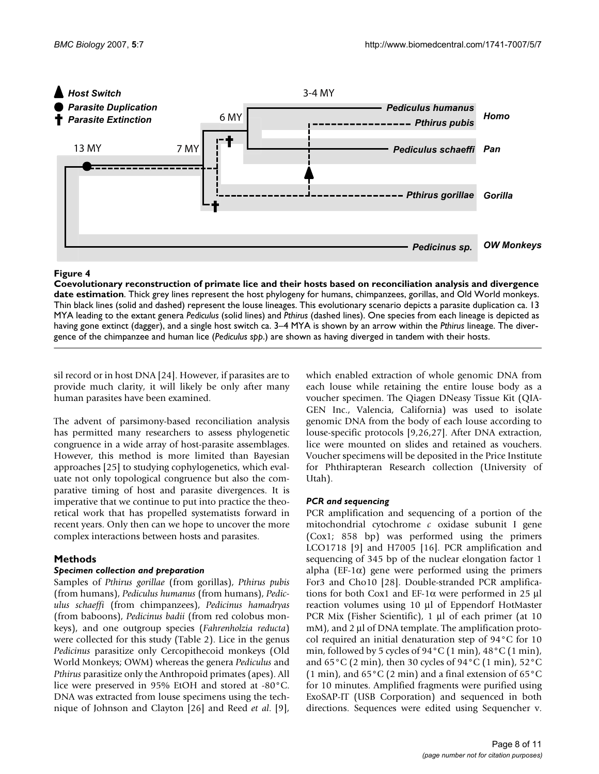

#### Coevolutionary reconstruction of primate li **Figure 4** ce and their hosts based on reconciliation analysis and divergence date estimation

**Coevolutionary reconstruction of primate lice and their hosts based on reconciliation analysis and divergence date estimation**. Thick grey lines represent the host phylogeny for humans, chimpanzees, gorillas, and Old World monkeys. Thin black lines (solid and dashed) represent the louse lineages. This evolutionary scenario depicts a parasite duplication ca. 13 MYA leading to the extant genera *Pediculus* (solid lines) and *Pthirus* (dashed lines). One species from each lineage is depicted as having gone extinct (dagger), and a single host switch ca. 3–4 MYA is shown by an arrow within the *Pthirus* lineage. The divergence of the chimpanzee and human lice (*Pediculus spp*.) are shown as having diverged in tandem with their hosts.

sil record or in host DNA [24]. However, if parasites are to provide much clarity, it will likely be only after many human parasites have been examined.

The advent of parsimony-based reconciliation analysis has permitted many researchers to assess phylogenetic congruence in a wide array of host-parasite assemblages. However, this method is more limited than Bayesian approaches [25] to studying cophylogenetics, which evaluate not only topological congruence but also the comparative timing of host and parasite divergences. It is imperative that we continue to put into practice the theoretical work that has propelled systematists forward in recent years. Only then can we hope to uncover the more complex interactions between hosts and parasites.

## **Methods**

#### *Specimen collection and preparation*

Samples of *Pthirus gorillae* (from gorillas), *Pthirus pubis* (from humans), *Pediculus humanus* (from humans), *Pediculus schaeffi* (from chimpanzees), *Pedicinus hamadryas* (from baboons), *Pedicinus badii* (from red colobus monkeys), and one outgroup species (*Fahrenholzia reducta*) were collected for this study (Table 2). Lice in the genus *Pedicinus* parasitize only Cercopithecoid monkeys (Old World Monkeys; OWM) whereas the genera *Pediculus* and *Pthirus* parasitize only the Anthropoid primates (apes). All lice were preserved in 95% EtOH and stored at -80°C. DNA was extracted from louse specimens using the technique of Johnson and Clayton [26] and Reed *et al*. [9], which enabled extraction of whole genomic DNA from each louse while retaining the entire louse body as a voucher specimen. The Qiagen DNeasy Tissue Kit (QIA-GEN Inc., Valencia, California) was used to isolate genomic DNA from the body of each louse according to louse-specific protocols [9,26,27]. After DNA extraction, lice were mounted on slides and retained as vouchers. Voucher specimens will be deposited in the Price Institute for Phthirapteran Research collection (University of Utah).

#### *PCR and sequencing*

PCR amplification and sequencing of a portion of the mitochondrial cytochrome *c* oxidase subunit I gene (Cox1; 858 bp) was performed using the primers LCO1718 [9] and H7005 [16]. PCR amplification and sequencing of 345 bp of the nuclear elongation factor 1 alpha (EF-1 $\alpha$ ) gene were performed using the primers For3 and Cho10 [28]. Double-stranded PCR amplifications for both Cox1 and EF-1 $\alpha$  were performed in 25  $\mu$ l reaction volumes using 10 μl of Eppendorf HotMaster PCR Mix (Fisher Scientific), 1 μl of each primer (at 10 mM), and 2 μl of DNA template. The amplification protocol required an initial denaturation step of 94°C for 10 min, followed by 5 cycles of  $94^{\circ}$ C (1 min),  $48^{\circ}$ C (1 min), and  $65^{\circ}$ C (2 min), then 30 cycles of  $94^{\circ}$ C (1 min),  $52^{\circ}$ C (1 min), and 65 $^{\circ}$ C (2 min) and a final extension of 65 $^{\circ}$ C for 10 minutes. Amplified fragments were purified using ExoSAP-IT (USB Corporation) and sequenced in both directions. Sequences were edited using Sequencher v.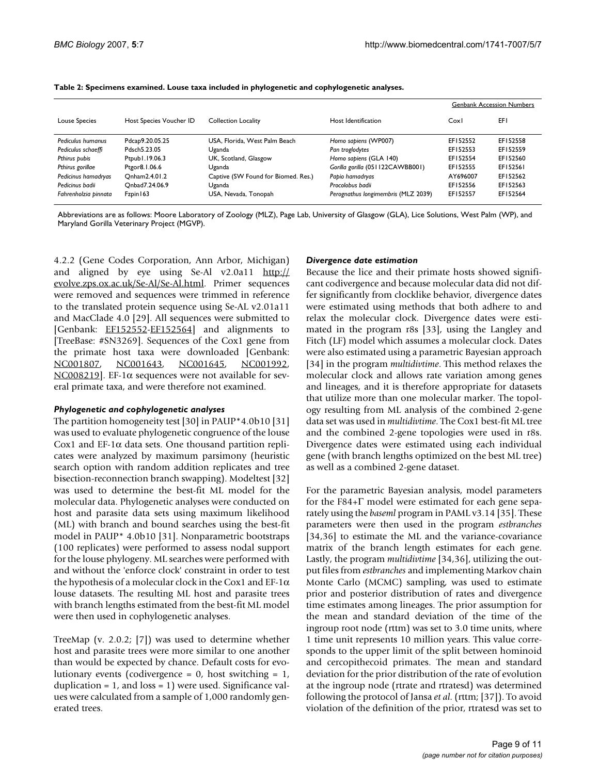|                      |                         |                                     |                                     | <b>Genbank Accession Numbers</b> |          |
|----------------------|-------------------------|-------------------------------------|-------------------------------------|----------------------------------|----------|
| Louse Species        | Host Species Voucher ID | <b>Collection Locality</b>          | Host Identification                 | Coxl                             | EF1      |
| Pediculus humanus    | Pdcap9.20.05.25         | USA, Florida, West Palm Beach       | Homo sapiens (WP007)                | EF152552                         | EF152558 |
| Pediculus schaeffi   | Pdsch5.23.05            | Uganda                              | Pan troglodytes                     | EF152553                         | EF152559 |
| Pthirus pubis        | Ptpub1.19.06.3          | UK, Scotland, Glasgow               | Homo sapiens (GLA 140)              | EF152554                         | EF152560 |
| Pthirus gorillae     | Ptgor8.1.06.6           | Uganda                              | Gorilla gorilla (051122CAWBB001)    | EF152555                         | EF152561 |
| Pedicinus hamadryas  | Onham2.4.01.2           | Captive (SW Found for Biomed. Res.) | Papio hamadryas                     | AY696007                         | EF152562 |
| Pedicinus badii      | Onbad7.24.06.9          | Uganda                              | Procolobus badii                    | EF152556                         | EF152563 |
| Fahrenholzia pinnata | Fzpin 163               | USA, Nevada, Tonopah                | Perognathus longimembris (MLZ 2039) | EF152557                         | EF152564 |

#### **Table 2: Specimens examined. Louse taxa included in phylogenetic and cophylogenetic analyses.**

Abbreviations are as follows: Moore Laboratory of Zoology (MLZ), Page Lab, University of Glasgow (GLA), Lice Solutions, West Palm (WP), and Maryland Gorilla Veterinary Project (MGVP).

4.2.2 (Gene Codes Corporation, Ann Arbor, Michigan) and aligned by eye using Se-Al v2.0a11 [http://](http://evolve.zps.ox.ac.uk/Se-Al/Se-Al.html) [evolve.zps.ox.ac.uk/Se-Al/Se-Al.html.](http://evolve.zps.ox.ac.uk/Se-Al/Se-Al.html) Primer sequences were removed and sequences were trimmed in reference to the translated protein sequence using Se-AL v2.01a11 and MacClade 4.0 [29]. All sequences were submitted to [Genbank: [EF152552-](http://www.ncbi.nih.gov/entrez/query.fcgi?db=Nucleotide&cmd=search&term=EF152552)[EF152564\]](http://www.ncbi.nih.gov/entrez/query.fcgi?db=Nucleotide&cmd=search&term=EF152564) and alignments to [TreeBase: #SN3269]. Sequences of the Cox1 gene from the primate host taxa were downloaded [Genbank: [NC001807,](http://www.ncbi.nih.gov/entrez/query.fcgi?db=Nucleotide&cmd=search&term=NC001807) [NC001643,](http://www.ncbi.nih.gov/entrez/query.fcgi?db=Nucleotide&cmd=search&term=NC001643) [NC001645,](http://www.ncbi.nih.gov/entrez/query.fcgi?db=Nucleotide&cmd=search&term=NC001645) [NC001992,](http://www.ncbi.nih.gov/entrez/query.fcgi?db=Nucleotide&cmd=search&term=NC001992) [NC008219\]](http://www.ncbi.nih.gov/entrez/query.fcgi?db=Nucleotide&cmd=search&term=NC008219). EF-1α sequences were not available for several primate taxa, and were therefore not examined.

#### *Phylogenetic and cophylogenetic analyses*

The partition homogeneity test [30] in PAUP\*4.0b10 [31] was used to evaluate phylogenetic congruence of the louse Cox1 and EF-1α data sets. One thousand partition replicates were analyzed by maximum parsimony (heuristic search option with random addition replicates and tree bisection-reconnection branch swapping). Modeltest [32] was used to determine the best-fit ML model for the molecular data. Phylogenetic analyses were conducted on host and parasite data sets using maximum likelihood (ML) with branch and bound searches using the best-fit model in PAUP\* 4.0b10 [31]. Nonparametric bootstraps (100 replicates) were performed to assess nodal support for the louse phylogeny. ML searches were performed with and without the 'enforce clock' constraint in order to test the hypothesis of a molecular clock in the Cox1 and EF-1 $\alpha$ louse datasets. The resulting ML host and parasite trees with branch lengths estimated from the best-fit ML model were then used in cophylogenetic analyses.

TreeMap (v. 2.0.2; [7]) was used to determine whether host and parasite trees were more similar to one another than would be expected by chance. Default costs for evolutionary events (codivergence = 0, host switching = 1, duplication =  $1$ , and loss =  $1$ ) were used. Significance values were calculated from a sample of 1,000 randomly generated trees.

#### *Divergence date estimation*

Because the lice and their primate hosts showed significant codivergence and because molecular data did not differ significantly from clocklike behavior, divergence dates were estimated using methods that both adhere to and relax the molecular clock. Divergence dates were estimated in the program r8s [33], using the Langley and Fitch (LF) model which assumes a molecular clock. Dates were also estimated using a parametric Bayesian approach [34] in the program *multidivtime*. This method relaxes the molecular clock and allows rate variation among genes and lineages, and it is therefore appropriate for datasets that utilize more than one molecular marker. The topology resulting from ML analysis of the combined 2-gene data set was used in *multidivtime*. The Cox1 best-fit ML tree and the combined 2-gene topologies were used in r8s. Divergence dates were estimated using each individual gene (with branch lengths optimized on the best ML tree) as well as a combined 2-gene dataset.

For the parametric Bayesian analysis, model parameters for the F84+Γ model were estimated for each gene separately using the *baseml* program in PAML v3.14 [35]. These parameters were then used in the program *estbranches* [34,36] to estimate the ML and the variance-covariance matrix of the branch length estimates for each gene. Lastly, the program *multidivtime* [34,36], utilizing the output files from *estbranches* and implementing Markov chain Monte Carlo (MCMC) sampling, was used to estimate prior and posterior distribution of rates and divergence time estimates among lineages. The prior assumption for the mean and standard deviation of the time of the ingroup root node (rttm) was set to 3.0 time units, where 1 time unit represents 10 million years. This value corresponds to the upper limit of the split between hominoid and cercopithecoid primates. The mean and standard deviation for the prior distribution of the rate of evolution at the ingroup node (rtrate and rtratesd) was determined following the protocol of Jansa *et al*. (rttm; [37]). To avoid violation of the definition of the prior, rtratesd was set to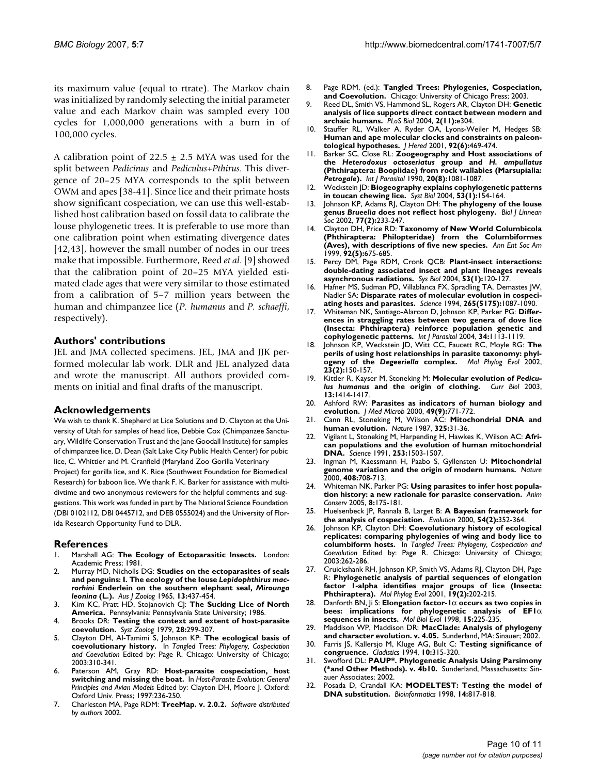its maximum value (equal to rtrate). The Markov chain was initialized by randomly selecting the initial parameter value and each Markov chain was sampled every 100 cycles for 1,000,000 generations with a burn in of 100,000 cycles.

A calibration point of  $22.5 \pm 2.5$  MYA was used for the split between *Pedicinus* and *Pediculus*+*Pthirus*. This divergence of 20–25 MYA corresponds to the split between OWM and apes [38-41]. Since lice and their primate hosts show significant cospeciation, we can use this well-established host calibration based on fossil data to calibrate the louse phylogenetic trees. It is preferable to use more than one calibration point when estimating divergence dates [42,43], however the small number of nodes in our trees make that impossible. Furthermore, Reed *et al*. [9] showed that the calibration point of 20–25 MYA yielded estimated clade ages that were very similar to those estimated from a calibration of 5–7 million years between the human and chimpanzee lice (*P. humanus* and *P. schaeffi*, respectively).

#### **Authors' contributions**

JEL and JMA collected specimens. JEL, JMA and JJK performed molecular lab work. DLR and JEL analyzed data and wrote the manuscript. All authors provided comments on initial and final drafts of the manuscript.

#### **Acknowledgements**

We wish to thank K. Shepherd at Lice Solutions and D. Clayton at the University of Utah for samples of head lice, Debbie Cox (Chimpanzee Sanctuary, Wildlife Conservation Trust and the Jane Goodall Institute) for samples of chimpanzee lice, D. Dean (Salt Lake City Public Health Center) for pubic lice, C. Whittier and M. Cranfield (Maryland Zoo Gorilla Veterinary Project) for gorilla lice, and K. Rice (Southwest Foundation for Biomedical Research) for baboon lice. We thank F. K. Barker for assistance with multidivtime and two anonymous reviewers for the helpful comments and suggestions. This work was funded in part by The National Science Foundation (DBI 0102112, DBI 0445712, and DEB 0555024) and the University of Florida Research Opportunity Fund to DLR.

#### **References**

- 1. Marshall AG: **The Ecology of Ectoparasitic Insects.** London: Academic Press; 1981.
- 2. Murray MD, Nicholls DG: **Studies on the ectoparasites of seals and penguins: I. The ecology of the louse** *Lepidophthirus macrorhini* **Enderlein on the southern elephant seal,** *Mirounga leonina* **(L.).** *Aus J Zoolog* 1965, **13:**437-454.
- 3. Kim KC, Pratt HD, Stojanovich CJ: **The Sucking Lice of North America.** Pennsylvania: Pennsylvania State University; 1986.
- 4. Brooks DR: **Testing the context and extent of host-parasite coevolution.** *Syst Zoolog* 1979, **28:**299-307.
- 5. Clayton DH, Al-Tamimi S, Johnson KP: **The ecological basis of coevolutionary history.** In *Tangled Trees: Phylogeny, Cospeciation and Coevolution* Edited by: Page R. Chicago: University of Chicago; 2003:310-341.
- 6. Paterson AM, Gray RD: **Host-parasite cospeciation, host switching and missing the boat.** In *Host-Parasite Evolution: General Principles and Avian Models* Edited by: Clayton DH, Moore J. Oxford: Oxford Univ. Press; 1997:236-250.
- 7. Charleston MA, Page RDM: **TreeMap. v. 2.0.2.** *Software distributed by authors* 2002.
- 8. Page RDM, (ed.): **Tangled Trees: Phylogenies, Cospeciation, and Coevolution.** Chicago: University of Chicago Press; 2003.
- 9. Reed DL, Smith VS, Hammond SL, Rogers AR, Clayton DH: **[Genetic](http://www.ncbi.nlm.nih.gov/entrez/query.fcgi?cmd=Retrieve&db=PubMed&dopt=Abstract&list_uids=15361932) [analysis of lice supports direct contact between modern and](http://www.ncbi.nlm.nih.gov/entrez/query.fcgi?cmd=Retrieve&db=PubMed&dopt=Abstract&list_uids=15361932) [archaic humans.](http://www.ncbi.nlm.nih.gov/entrez/query.fcgi?cmd=Retrieve&db=PubMed&dopt=Abstract&list_uids=15361932)** *PLoS Biol* 2004, **2(11):**e304.
- 10. Stauffer RL, Walker A, Ryder OA, Lyons-Weiler M, Hedges SB: **[Human and ape molecular clocks and constraints on paleon](http://www.ncbi.nlm.nih.gov/entrez/query.fcgi?cmd=Retrieve&db=PubMed&dopt=Abstract&list_uids=11948213)[tological hypotheses.](http://www.ncbi.nlm.nih.gov/entrez/query.fcgi?cmd=Retrieve&db=PubMed&dopt=Abstract&list_uids=11948213)** *J Hered* 2001, **92(6):**469-474.
- 11. Barker SC, Close RL: **Zoogeography and Host associations of the** *Heterodoxus octoseriatus* **group and** *H. ampullatus* **(Phthiraptera: Boopiidae) from rock wallabies (Marsupialia:** *Petrogale***[\).](http://www.ncbi.nlm.nih.gov/entrez/query.fcgi?cmd=Retrieve&db=PubMed&dopt=Abstract&list_uids=2074135)** *Int J Parasitol* 1990, **20(8):**1081-1087.
- 12. Weckstein JD: **[Biogeography explains cophylogenetic patterns](http://www.ncbi.nlm.nih.gov/entrez/query.fcgi?cmd=Retrieve&db=PubMed&dopt=Abstract&list_uids=14965910) [in toucan chewing lice.](http://www.ncbi.nlm.nih.gov/entrez/query.fcgi?cmd=Retrieve&db=PubMed&dopt=Abstract&list_uids=14965910)** *Syst Biol* 2004, **53(1):**154-164.
- 13. Johnson KP, Adams RJ, Clayton DH: **The phylogeny of the louse genus** *Brueelia* **does not reflect host phylogeny.** *Biol J Linnean Soc* 2002, **77(2):**233-247.
- 14. Clayton DH, Price RD: **Taxonomy of New World Columbicola (Phthiraptera: Philopteridae) from the Columbiformes (Aves), with descriptions of five new species.** *Ann Ent Soc Am* 1999, **92(5):**675-685.
- 15. Percy DM, Page RDM, Cronk QCB: **Plant-insect interactions: double-dating associated insect and plant lineages reveals asynchronous radiations.** *Sys Biol* 2004, **53(1):**120-127.
- 16. Hafner MS, Sudman PD, Villablanca FX, Spradling TA, Demastes JW, Nadler SA: **[Disparate rates of molecular evolution in cospeci](http://www.ncbi.nlm.nih.gov/entrez/query.fcgi?cmd=Retrieve&db=PubMed&dopt=Abstract&list_uids=8066445)[ating hosts and parasites.](http://www.ncbi.nlm.nih.gov/entrez/query.fcgi?cmd=Retrieve&db=PubMed&dopt=Abstract&list_uids=8066445)** *Science* 1994, **265(5175):**1087-1090.
- 17. Whiteman NK, Santiago-Alarcon D, Johnson KP, Parker PG: **[Differ](http://www.ncbi.nlm.nih.gov/entrez/query.fcgi?cmd=Retrieve&db=PubMed&dopt=Abstract&list_uids=15380682)[ences in straggling rates between two genera of dove lice](http://www.ncbi.nlm.nih.gov/entrez/query.fcgi?cmd=Retrieve&db=PubMed&dopt=Abstract&list_uids=15380682) (Insecta: Phthiraptera) reinforce population genetic and [cophylogenetic patterns.](http://www.ncbi.nlm.nih.gov/entrez/query.fcgi?cmd=Retrieve&db=PubMed&dopt=Abstract&list_uids=15380682)** *Int J Parasitol* 2004, **34:**1113-1119.
- 10hnson KP, Weckstein JD, Witt CC, Faucett RC, Moyle RG: The perils of using host relationships in parasite taxonomy: phyl**ogeny of the** *Degeeriella* **complex.** *Mol Phylog Evol* 2002, **23(2):**150-157.
- 19. Kittler R, Kayser M, Stoneking M: **Molecular evolution of** *Pediculus humanus* **[and the origin of clothing.](http://www.ncbi.nlm.nih.gov/entrez/query.fcgi?cmd=Retrieve&db=PubMed&dopt=Abstract&list_uids=12932325)** *Curr Biol* 2003, **13:**1414-1417.
- 20. Ashford RW: **Parasites as indicators of human biology and evolution.** *J Med Microb* 2000, **49(9):**771-772.
- 21. Cann RL, Stoneking M, Wilson AC: **[Mitochondrial DNA and](http://www.ncbi.nlm.nih.gov/entrez/query.fcgi?cmd=Retrieve&db=PubMed&dopt=Abstract&list_uids=3025745) [human evolution.](http://www.ncbi.nlm.nih.gov/entrez/query.fcgi?cmd=Retrieve&db=PubMed&dopt=Abstract&list_uids=3025745)** *Nature* 1987, **325:**31-36.
- 22. Vigilant L, Stoneking M, Harpending H, Hawkes K, Wilson AC: **[Afri](http://www.ncbi.nlm.nih.gov/entrez/query.fcgi?cmd=Retrieve&db=PubMed&dopt=Abstract&list_uids=1840702)[can populations and the evolution of human mitochondrial](http://www.ncbi.nlm.nih.gov/entrez/query.fcgi?cmd=Retrieve&db=PubMed&dopt=Abstract&list_uids=1840702) [DNA.](http://www.ncbi.nlm.nih.gov/entrez/query.fcgi?cmd=Retrieve&db=PubMed&dopt=Abstract&list_uids=1840702)** *Science* 1991, **253:**1503-1507.
- 23. Ingman M, Kaessmann H, Paabo S, Gyllensten U: **[Mitochondrial](http://www.ncbi.nlm.nih.gov/entrez/query.fcgi?cmd=Retrieve&db=PubMed&dopt=Abstract&list_uids=11130070) [genome variation and the origin of modern humans.](http://www.ncbi.nlm.nih.gov/entrez/query.fcgi?cmd=Retrieve&db=PubMed&dopt=Abstract&list_uids=11130070)** *Nature* 2000, **408:**708-713.
- 24. Whiteman NK, Parker PG: **Using parasites to infer host population history: a new rationale for parasite conservation.** *Anim Conserv* 2005, **8:**175-181.
- 25. Huelsenbeck JP, Rannala B, Larget B: **[A Bayesian framework for](http://www.ncbi.nlm.nih.gov/entrez/query.fcgi?cmd=Retrieve&db=PubMed&dopt=Abstract&list_uids=10937213) [the analysis of cospeciation.](http://www.ncbi.nlm.nih.gov/entrez/query.fcgi?cmd=Retrieve&db=PubMed&dopt=Abstract&list_uids=10937213)** *Evolution* 2000, **54(2):**352-364.
- 26. Johnson KP, Clayton DH: **Coevolutionary history of ecological replicates: comparing phylogenies of wing and body lice to columbiform hosts.** In *Tangled Trees: Phylogeny, Cospeciation and Coevolution* Edited by: Page R. Chicago: University of Chicago; 2003:262-286.
- 27. Cruickshank RH, Johnson KP, Smith VS, Adams RJ, Clayton DH, Page R: **Phylogenetic analysis of partial sequences of elongation factor 1-alpha identifies major groups of lice (Insecta: Phthiraptera).** *Mol Phylog Evol* 2001, **19(2):**202-215.
- 28. Danforth BN, Ji S: **Elongation factor-1**α **occurs as two copies in bees: implications for phylogenetic analysis of EF1**α **[sequences in insects.](http://www.ncbi.nlm.nih.gov/entrez/query.fcgi?cmd=Retrieve&db=PubMed&dopt=Abstract&list_uids=9501490)** *Mol Biol Evol* 1998, **15:**225-235.
- 29. Maddison WP, Maddison DR: **MacClade: Analysis of phylogeny and character evolution. v. 4.05.** Sunderland, MA: Sinauer; 2002.
- 30. Farris JS, Kallersjo M, Kluge AG, Bult C: **Testing significance of congruence.** *Cladistics* 1994, **10:**315-320.
- 31. Swofford DL: **[PAUP\\*. Phylogenetic Analysis Using Parsimony](http://www.ncbi.nlm.nih.gov/entrez/query.fcgi?cmd=Retrieve&db=PubMed&dopt=Abstract&list_uids=12504223) [\(\\*and Other Methods\). v. 4b10.](http://www.ncbi.nlm.nih.gov/entrez/query.fcgi?cmd=Retrieve&db=PubMed&dopt=Abstract&list_uids=12504223)** Sunderland, Massachusetts: Sinauer Associates; 2002.
- 32. Posada D, Crandall KA: **[MODELTEST: Testing the model of](http://www.ncbi.nlm.nih.gov/entrez/query.fcgi?cmd=Retrieve&db=PubMed&dopt=Abstract&list_uids=9918953) [DNA substitution.](http://www.ncbi.nlm.nih.gov/entrez/query.fcgi?cmd=Retrieve&db=PubMed&dopt=Abstract&list_uids=9918953)** *Bioinformatics* 1998, **14:**817-818.